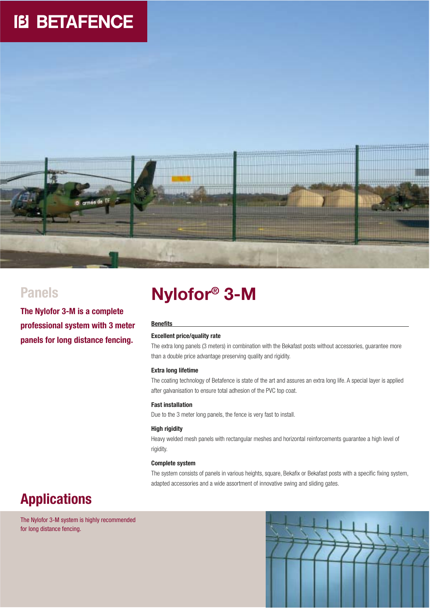# **IB BETAFENCE**



**The Nylofor 3-M is a complete professional system with 3 meter panels for long distance fencing.**

# **Nylofor® Panels 3-M**

### **Benefits**

### **Excellent price/quality rate**

The extra long panels (3 meters) in combination with the Bekafast posts without accessories, guarantee more than a double price advantage preserving quality and rigidity.

### **Extra long lifetime**

The coating technology of Betafence is state of the art and assures an extra long life. A special layer is applied after galvanisation to ensure total adhesion of the PVC top coat.

### **Fast installation**

Due to the 3 meter long panels, the fence is very fast to install.

### **High rigidity**

Heavy welded mesh panels with rectangular meshes and horizontal reinforcements guarantee a high level of rigidity.

### **Complete system**

The system consists of panels in various heights, square, Bekafix or Bekafast posts with a specific fixing system, adapted accessories and a wide assortment of innovative swing and sliding gates.

## **Applications**

The Nylofor 3-M system is highly recommended for long distance fencing.